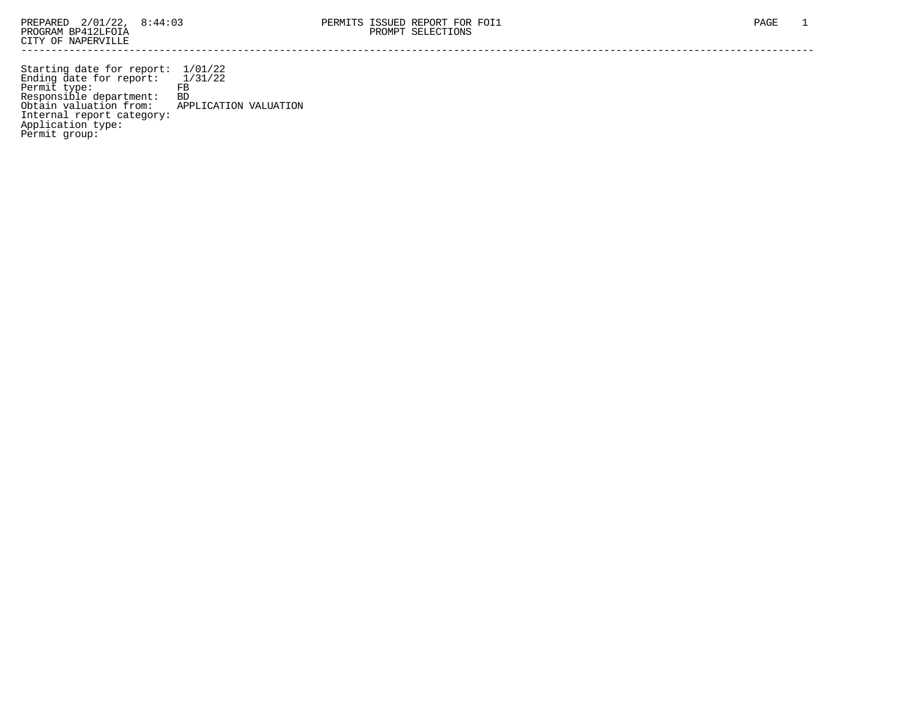Starting date for report: 1/01/22 Ending date for report: 1/31/22 Permit type: FB Responsible department: BD Obtain valuation from: APPLICATION VALUATION Internal report category: Application type: Permit group: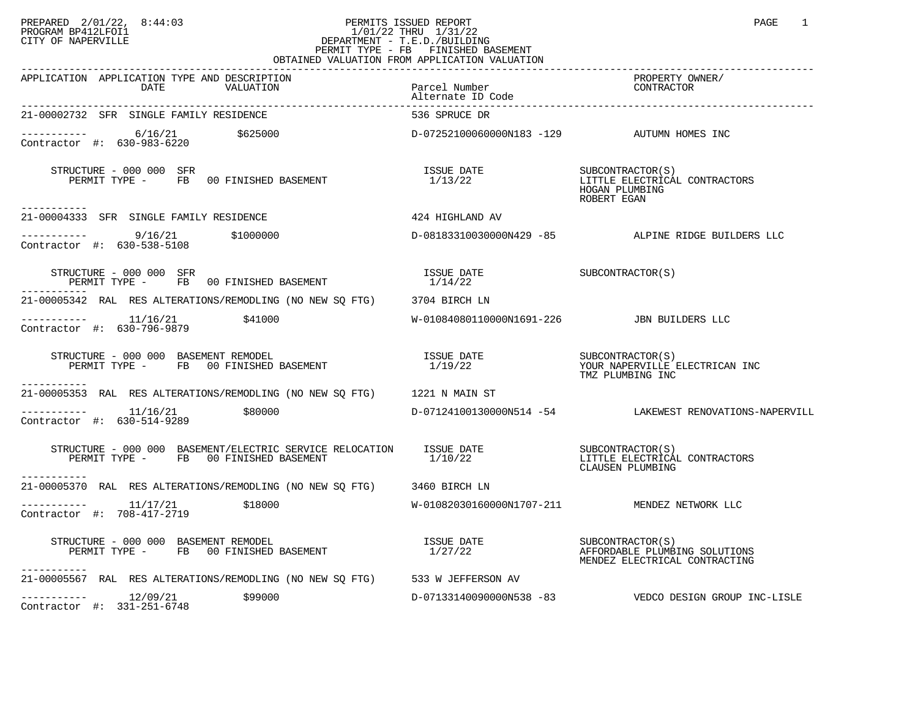## PREPARED 2/01/22, 8:44:03 PERMITS ISSUED REPORT PAGE 1 PAGE 1 PAGE 1 PROGRAM BP412LFOI1 1/01/22 THRU 1/31/22 CITY OF NAPERVILLE **Example 20** CITY OF NAPERVILLE PERMIT TYPE - FB FINISHED BASEMENT OBTAINED VALUATION FROM APPLICATION VALUATION

| APPLICATION APPLICATION TYPE AND DESCRIPTION<br>DATE<br>VALUATION                                                                                                                            | Parcel Number<br>Alternate ID Code                                  | PROPERTY OWNER/<br>CONTRACTOR                                                      |
|----------------------------------------------------------------------------------------------------------------------------------------------------------------------------------------------|---------------------------------------------------------------------|------------------------------------------------------------------------------------|
| 21-00002732 SFR SINGLE FAMILY RESIDENCE                                                                                                                                                      | 536 SPRUCE DR                                                       |                                                                                    |
| ---------- 6/16/21    \$625000    \$625000    \$625000    \$625000    \$625000    \$625000    \$625000    \$625000<br>Contractor #: 630-983-6220                                             |                                                                     |                                                                                    |
| RUCTURE - 000 000 SFR<br>PERMIT TYPE - FB 00 FINISHED BASEMENT<br>STRUCTURE - 000 000 SFR<br>. _ _ _ _ _ _ _ _ _ _                                                                           | ISSUE DATE SUBCONTRACTOR(S)<br>1/13/22 LITTLE ELECTRICAL<br>1/13/22 | LITTLE ELECTRICAL CONTRACTORS<br>HOGAN PLUMBING<br>ROBERT EGAN                     |
| 21-00004333 SFR SINGLE FAMILY RESIDENCE                                                                                                                                                      | 424 HIGHLAND AV                                                     |                                                                                    |
| $---------$ 9/16/21 \$1000000<br>Contractor #: 630-538-5108                                                                                                                                  |                                                                     | D-08183310030000N429 -85 ALPINE RIDGE BUILDERS LLC                                 |
| $\begin{array}{cccc} \texttt{STRUCTURE} & - & 000 & 000 & \texttt{SFR} \\ \texttt{PERMIT} & \texttt{TPE} & - & \texttt{FB} & 00 & \texttt{FINISHED BASEMENT} & & & & 1/14/22 \\ \end{array}$ |                                                                     |                                                                                    |
| 21-00005342 RAL RES ALTERATIONS/REMODLING (NO NEW SQ FTG) 3704 BIRCH LN                                                                                                                      |                                                                     |                                                                                    |
| $---------$ 11/16/21 \$41000<br>Contractor #: 630-796-9879                                                                                                                                   | W-01084080110000N1691-226 JBN BUILDERS LLC                          |                                                                                    |
| STRUCTURE - 000 000 BASEMENT REMODEL<br>PERMIT TYPE - FB 00 FINISHED BASEMENT 1/19/22 1/19/22 THE TIME REECTRICAN INC                                                                        |                                                                     | TMZ PLUMBING INC                                                                   |
| ------------<br>21-00005353 RAL RES ALTERATIONS/REMODLING (NO NEW SO FTG) 1221 N MAIN ST                                                                                                     |                                                                     |                                                                                    |
| $---------$ 11/16/21 \$80000<br>Contractor #: 630-514-9289                                                                                                                                   |                                                                     | D-07124100130000N514 -54 LAKEWEST RENOVATIONS-NAPERVILL                            |
| STRUCTURE – 000 000 BASEMENT/ELECTRIC SERVICE RELOCATION ISSUE DATE SUBCONTRACTOR(S) PERMIT TYPE – FB 00 FINISHED BASEMENT $1/10/22$ LITTLE ELECTRICAL<br>-----------                        |                                                                     | LITTLE ELECTRICAL CONTRACTORS<br>CLAUSEN PLUMBING                                  |
| 21-00005370 RAL RES ALTERATIONS/REMODLING (NO NEW SO FTG) 3460 BIRCH LN                                                                                                                      |                                                                     |                                                                                    |
| \$18000<br>Contractor #: 708-417-2719                                                                                                                                                        |                                                                     | W-01082030160000N1707-211 MENDEZ NETWORK LLC                                       |
| RUCTURE - 000 000 BASEMENT REMODEL<br>PERMIT TYPE -     FB   00 FINISHED BASEMENT<br>STRUCTURE - 000 000 BASEMENT REMODEL<br>-----------                                                     | ISSUE DATE<br>1/27/22                                               | SUBCONTRACTOR(S)<br>AFFORDABLE PLUMBING SOLUTIONS<br>MENDEZ ELECTRICAL CONTRACTING |
| 21-00005567 RAL RES ALTERATIONS/REMODLING (NO NEW SQ FTG) 533 W JEFFERSON AV                                                                                                                 |                                                                     |                                                                                    |
| ----------- 12/09/21<br>\$99000<br>Contractor #: 331-251-6748                                                                                                                                |                                                                     | D-07133140090000N538 -83    VEDCO DESIGN GROUP INC-LISLE                           |